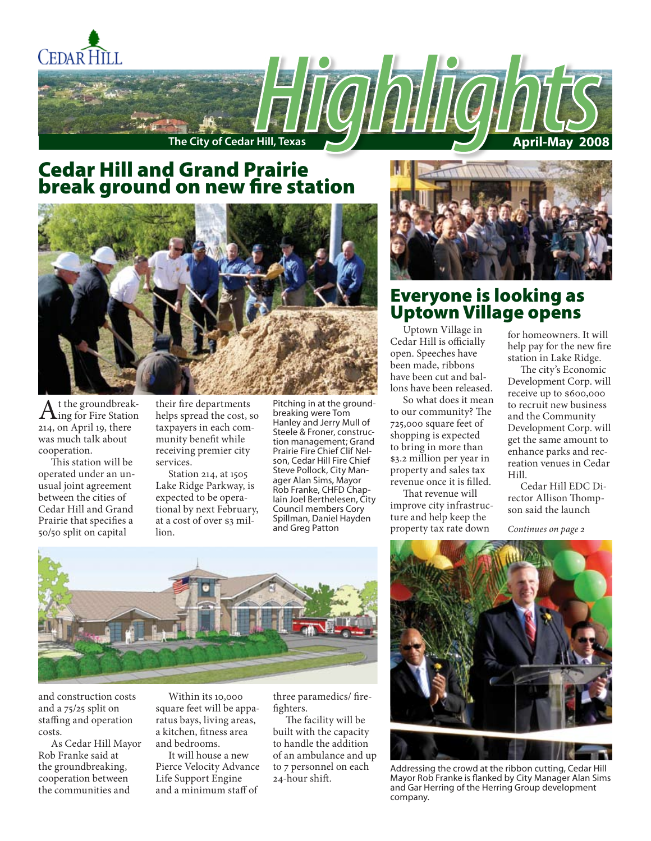

## Cedar Hill and Grand Prairie break ground on new fire station



 $A<sup>t</sup>$  the groundbreak-<br>ing for Fire Station 214, on April 19, there was much talk about cooperation.

This station will be operated under an unusual joint agreement between the cities of Cedar Hill and Grand Prairie that specifies a 50/50 split on capital

their fire departments helps spread the cost, so taxpayers in each community benefit while receiving premier city services.

Station 214, at 1505 Lake Ridge Parkway, is expected to be operational by next February, at a cost of over \$3 million.

Pitching in at the groundbreaking were Tom Hanley and Jerry Mull of Steele & Froner, construction management; Grand Prairie Fire Chief Clif Nelson, Cedar Hill Fire Chief Steve Pollock, City Manager Alan Sims, Mayor Rob Franke, CHFD Chaplain Joel Berthelesen, City Council members Cory Spillman, Daniel Hayden and Greg Patton



## Everyone is looking as Uptown Village opens

Uptown Village in Cedar Hill is officially open. Speeches have been made, ribbons have been cut and ballons have been released.

So what does it mean to our community? The 725,000 square feet of shopping is expected to bring in more than \$3.2 million per year in property and sales tax revenue once it is filled.

That revenue will improve city infrastructure and help keep the property tax rate down

for homeowners. It will help pay for the new fire station in Lake Ridge.

The city's Economic Development Corp. will receive up to \$600,000 to recruit new business and the Community Development Corp. will get the same amount to enhance parks and recreation venues in Cedar Hill.

Cedar Hill EDC Director Allison Thompson said the launch

*Continues on page 2*



and construction costs and a 75/25 split on staffing and operation costs.

As Cedar Hill Mayor Rob Franke said at the groundbreaking, cooperation between the communities and

Within its 10,000 square feet will be apparatus bays, living areas, a kitchen, fitness area and bedrooms.

It will house a new Pierce Velocity Advance Life Support Engine and a minimum staff of

three paramedics/ firefighters.

The facility will be built with the capacity to handle the addition of an ambulance and up to 7 personnel on each 24-hour shift.



Addressing the crowd at the ribbon cutting, Cedar Hill Mayor Rob Franke is flanked by City Manager Alan Sims and Gar Herring of the Herring Group development company.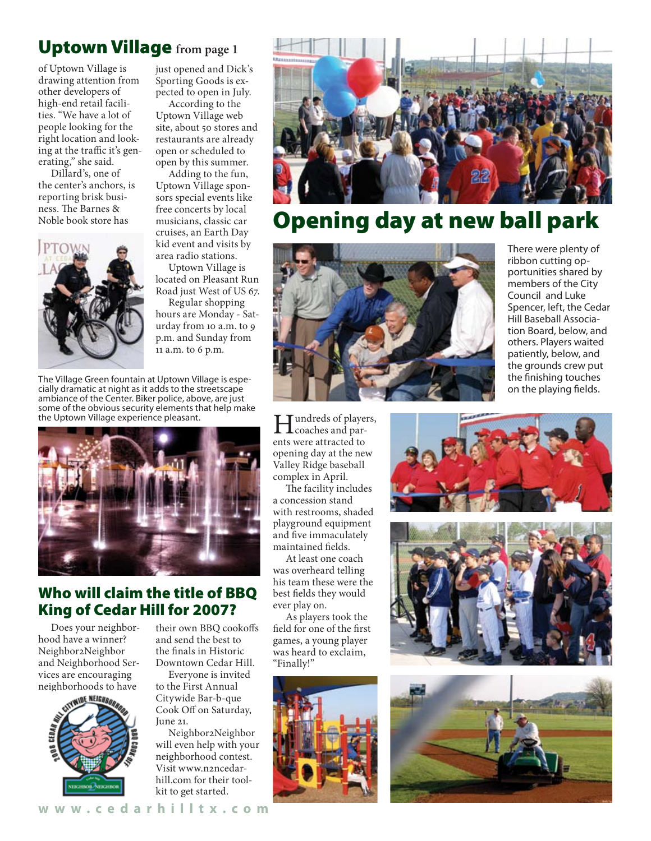## Uptown Village **from page 1**

of Uptown Village is drawing attention from other developers of high-end retail facilities. "We have a lot of people looking for the right location and looking at the traffic it's generating," she said.

Dillard's, one of the center's anchors, is reporting brisk business. The Barnes & Noble book store has



just opened and Dick's Sporting Goods is expected to open in July.

According to the Uptown Village web site, about 50 stores and restaurants are already open or scheduled to open by this summer.

Adding to the fun, Uptown Village sponsors special events like free concerts by local musicians, classic car cruises, an Earth Day kid event and visits by area radio stations.

Uptown Village is located on Pleasant Run Road just West of US 67.

Regular shopping hours are Monday - Saturday from 10 a.m. to 9 p.m. and Sunday from 11 a.m. to 6 p.m.

The Village Green fountain at Uptown Village is especially dramatic at night as it adds to the streetscape ambiance of the Center. Biker police, above, are just some of the obvious security elements that help make the Uptown Village experience pleasant.



## Who will claim the title of BBQ King of Cedar Hill for 2007?

Does your neighborhood have a winner? Neighbor2Neighbor and Neighborhood Services are encouraging neighborhoods to have



their own BBQ cookoffs and send the best to the finals in Historic Downtown Cedar Hill.

Everyone is invited to the First Annual Citywide Bar-b-que Cook Off on Saturday, June 21.

Neighbor2Neighbor will even help with your neighborhood contest. Visit www.n2ncedarhill.com for their toolkit to get started.





# Opening day at new ball park



Hundreds of players, coaches and parents were attracted to opening day at the new Valley Ridge baseball complex in April.

The facility includes a concession stand with restrooms, shaded playground equipment and five immaculately maintained fields.

At least one coach was overheard telling his team these were the best fields they would ever play on.

As players took the field for one of the first games, a young player was heard to exclaim, "Finally!"



There were plenty of ribbon cutting opportunities shared by members of the City Council and Luke Spencer, left, the Cedar Hill Baseball Association Board, below, and others. Players waited patiently, below, and the grounds crew put the finishing touches on the playing fields.





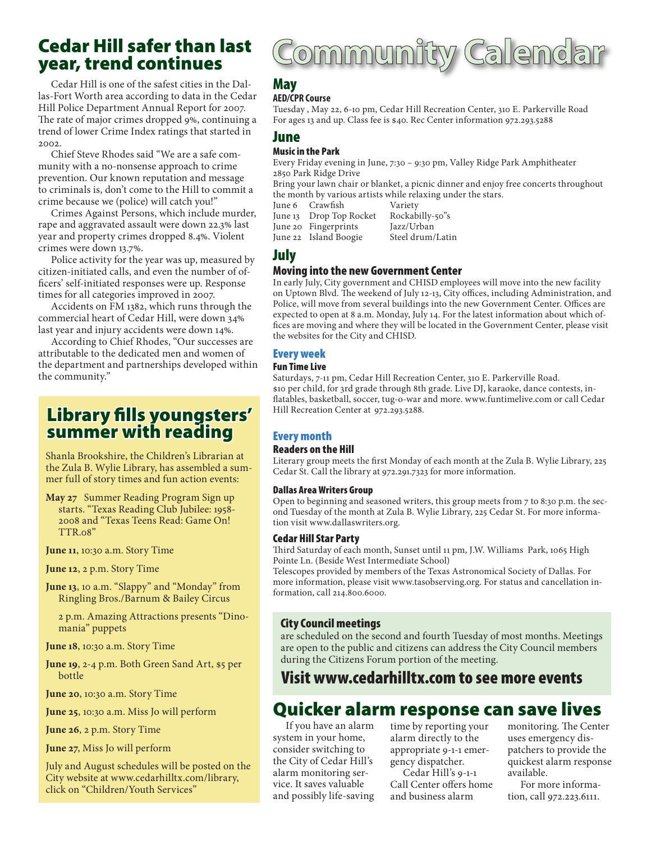## Cedar Hill safer than last year, trend continues

Cedar Hill is one of the safest cities in the Dallas-Fort Worth area according to data in the Cedar Hill Police Department Annual Report for 2007. The rate of major crimes dropped 9%, continuing a trend of lower Crime Index ratings that started in 2002.

Chief Steve Rhodes said "We are a safe community with a no-nonsense approach to crime prevention. Our known reputation and message to criminals is, don't come to the Hill to commit a crime because we (police) will catch you!"

Crimes Against Persons, which include murder, rape and aggravated assault were down 22.3% last year and property crimes dropped 8.4%. Violent crimes were down 13.7%.

Police activity for the year was up, measured by citizen-initiated calls, and even the number of officers' self-initiated responses were up. Response times for all categories improved in 2007.

Accidents on FM 1382, which runs through the commercial heart of Cedar Hill, were down 34% last year and injury accidents were down 14%.

According to Chief Rhodes, "Our successes are attributable to the dedicated men and women of the department and partnerships developed within the community."

## Library fills youngsters' summer with reading

Shanla Brookshire, the Children's Librarian at the Zula B. Wylie Library, has assembled a summer full of story times and fun action events:

**May 27** Summer Reading Program Sign up starts. "Texas Reading Club Jubilee: 1958- 2008 and "Texas Teens Read: Game On! TTR.08"

**June 11**, 10:30 a.m. Story Time

**June 12**, 2 p.m. Story Time

**June 13**, 10 a.m. "Slappy" and "Monday" from Ringling Bros./Barnum & Bailey Circus

2 p.m. Amazing Attractions presents "Dinomania" puppets

**June 18**, 10:30 a.m. Story Time

**June 19**, 2-4 p.m. Both Green Sand Art, \$5 per bottle

**June 20**, 10:30 a.m. Story Time

**June 25**, 10:30 a.m. Miss Jo will perform

**June 26**, 2 p.m. Story Time

**June 27**, Miss Jo will perform

July and August schedules will be posted on the City website at www.cedarhilltx.com/library, click on "Children/Youth Services"

# Community Calendar

## May

#### **AED/CPR Course**

Tuesday , May 22, 6-10 pm, Cedar Hill Recreation Center, 310 E. Parkerville Road For ages 13 and up. Class fee is \$40. Rec Center information 972.293.5288

#### June

#### Music in the Park

Every Friday evening in June, 7:30 – 9:30 pm, Valley Ridge Park Amphitheater 2850 Park Ridge Drive

Bring your lawn chair or blanket, a picnic dinner and enjoy free concerts throughout the month by various artists while relaxing under the stars.<br>June 6 Crawfish Variety

June 6 Crawfish Variety<br>June 13 Drop Top Rocket Rockabilly-50"s June 13 Drop Top Rocket

June 22 Island Boogie

June 20 Fingerprints Jazz/Urban

### July

#### Moving into the new Government Center

In early July, City government and CHISD employees will move into the new facility on Uptown Blvd. The weekend of July 12-13, City offices, including Administration, and Police, will move from several buildings into the new Government Center. Offices are expected to open at 8 a.m. Monday, July 14. For the latest information about which offices are moving and where they will be located in the Government Center, please visit the websites for the City and CHISD.

#### Every week

#### Fun Time Live

Saturdays, 7-11 pm, Cedar Hill Recreation Center, 310 E. Parkerville Road. \$10 per child, for 3rd grade through 8th grade. Live DJ, karaoke, dance contests, inflatables, basketball, soccer, tug-o-war and more. www.funtimelive.com or call Cedar Hill Recreation Center at 972.293.5288.

#### Every month

#### Readers on the Hill

Literary group meets the first Monday of each month at the Zula B. Wylie Library, 225 Cedar St. Call the library at 972.291.7323 for more information.

#### Dallas Area Writers Group

Open to beginning and seasoned writers, this group meets from 7 to 8:30 p.m. the second Tuesday of the month at Zula B. Wylie Library, 225 Cedar St. For more information visit www.dallaswriters.org.

#### Cedar Hill Star Party

Third Saturday of each month, Sunset until 11 pm, J.W. Williams Park, 1065 High Pointe Ln. (Beside West Intermediate School)

Telescopes provided by members of the Texas Astronomical Society of Dallas. For more information, please visit www.tasobserving.org. For status and cancellation information, call 214.800.6000.

#### City Council meetings

are scheduled on the second and fourth Tuesday of most months. Meetings are open to the public and citizens can address the City Council members during the Citizens Forum portion of the meeting.

## Visit www.cedarhilltx.com to see more events

## Quicker alarm response can save lives

If you have an alarm system in your home, consider switching to the City of Cedar Hill's alarm monitoring service. It saves valuable and possibly life-saving time by reporting your alarm directly to the appropriate 9-1-1 emergency dispatcher.

Cedar Hill's 9-1-1 Call Center offers home and business alarm

monitoring. The Center uses emergency dispatchers to provide the quickest alarm response available.

For more information, call 972.223.6111.